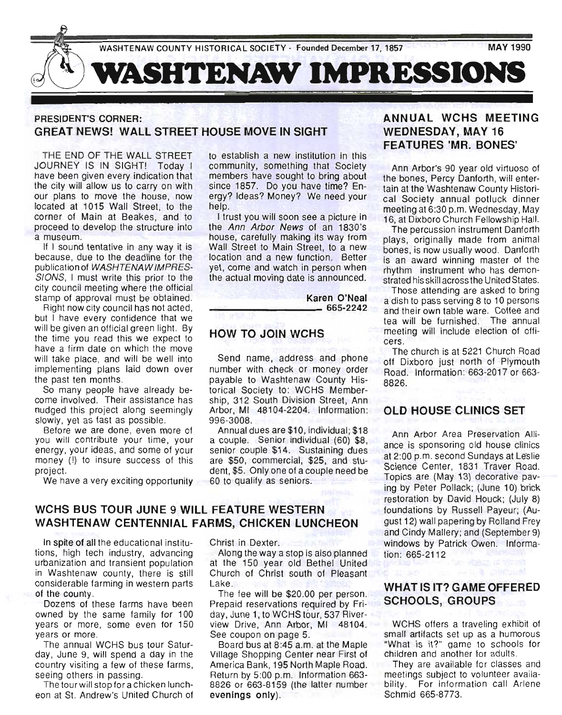

### PRESIDENT'S CORNER: GREAT NEWS! WALL STREET HOUSE MOVE IN SIGHT

THE END OF THE WALL STREET JOURNEY IS IN SIGHT! Today I have been given every indication that the city will allow us to carry on with our plans to move the house, now located at 1015 Wall Street, to the corner of Main at Beakes, and to proceed to develop the structure into a museum.

If I sound tentative in any way it is because, due to the deadline for the publication of WASHTENAWIMPRES-SIGNS, I must write this prior to the city council meeting where the official stamp of approval must be obtained.

Right now city council has not acted, but I have every confidence that we will be given an official green light. By the time you read this we expect to have a firm date on which the move will take place, and will be well into implementing plans laid down over the past ten months.

So many people have already become involved. Their assistance has nudged this project along seemingly slowly, yet as fast as possible.

Before we are done, even more of you will contribute your time, your energy, your ideas, and some of your money (!) to insure success of this project.

We have a very exciting opportunity

to establish a new institution in this community, something that Society members have sought to bring about since 1857. Do you have time? Energy? Ideas? Money? We need your help.

I trust you will soon see a picture in the Ann Arbor News of an 1830's house, carefully making its way from Wall Street to Main Street, to a new location and a new function. Better yet, come and watch in person when the actual moving date is announced.

Karen O'Neal ----\_\_\_\_\_ 665-2242

### HOW TO JOIN WCHS

Send name, address and phone number with check or money order payable to Washtenaw County Historical Society to: WCHS Membership, 312 South Division Street, Ann Arbor, MI 48104-2204. Information: 996-3008.

Annual dues are \$10, individual; \$18 a couple. Senior individual (60) \$8, senior couple \$14. Sustaining dues are \$50, commercial, \$25, and student, \$5. Only one of a couple need be 60 to qualify as seniors.

### WCHS BUS TOUR JUNE 9 WILL FEATURE WESTERN WASHTENAW CENTENNIAL FARMS, CHICKEN LUNCHEON

In spite of all the educational institutions, high tech industry, advancing urbanization and transient population in Washtenaw county, there is still considerable farming in western parts of the county.

Dozens of these farms have been owned by the same family for 100 years or more, some even for 150 years or more.

The annual WCHS bus tour Saturday, June 9, will spend a day in the country visiting a few of these farms, seeing others in passing.

The tour will stop for a chicken luncheon at St. Andrew's United Church of Christ in Dexter.

Along the way a stop is also planned at the 150 year old Bethel United Church of Christ south of Pleasant Lake.

The fee will be \$20.00 per person. Prepaid reservations required by Friday, June 1, to WCHS tour, 537 Riverview Drive, Ann Arbor, MI 48104. See coupon on page 5.

Board bus at 8:45 a.m. at the Maple Village Shopping Center near First of America Bank, 195 North Maple Road. Return by 5:00 p.m. Information 663- 8826 or 663-8159 (the latter number evenings only).

### ANNUAL WCHS MEETING WEDNESDAY, MAY 16 **FEATURES 'MR. BONES'**

Ann Arbor's 90 year old virtuoso of the bones, Percy Danforth, will entertain at the Washtenaw County Historical Society annual potluck dinner meeting at 6:30 p.m. Wednesday, May 16, at Dixboro Church Fellowship Hall.

The percussion instrument Danforth plays, originally made from animal bones, is now usually wood. Danforth is an award winning master of the rhythm instrument who has demonstrated his skill across the United States.

Those attending are asked to bring a dish to pass serving 8 to 10 persons and their own table ware. Coffee and tea will be furnished. The annual meeting will include election of officers.

The church is at 5221 Church Road off Dixboro just north of Plymouth Road. Information: 663-2017 or 663- 8826.

### OLD HOUSE CLINICS SET

Ann Arbor Area Preservation Alliance is sponsoring old house clinics at 2:00 p.m. second Sundays at Le'slie Science Center, 1831 Traver Road. Topics are (May 13) decorative paving by Peter Pollack; (June 10) brick restoration by David Houck; (July 8) foundations by Russell Payeur; (August 12) wall papering by Rolland Frey and Cindy Mallery; and (September 9) windows by Patrick Owen. Information: 665-2112

### WHAT IS IT? GAME OFFERED SCHOOLS, GROUPS

WCHS offers a traveling exhibit of small artifacts set up as a humorous "What is it?" game to schools for children and another for adults.

They are available for classes and meetings subject to volunteer availability. For information call Arlene Schmid 665-8773.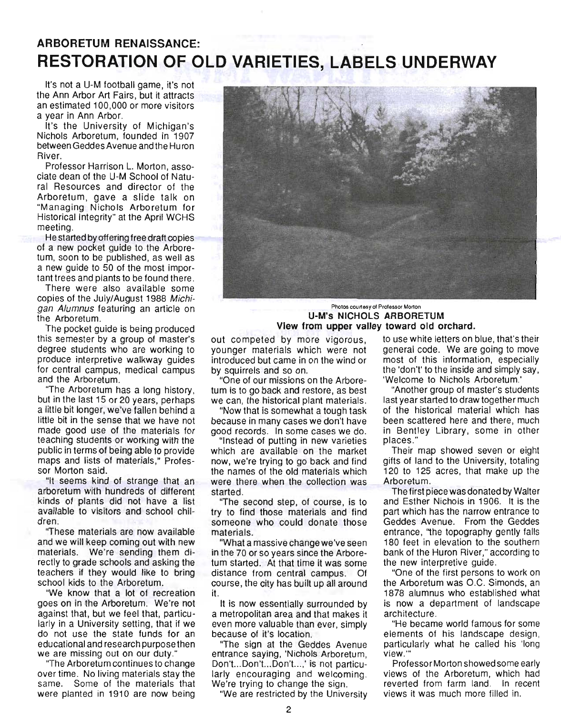# **ARBORETUM RENAISSANCE: RESTORATION OF OLD VARIETIES, LABELS UNDERWAY**

It's not a U-M football game, it's not the Ann Arbor Art Fairs, but it attracts an estimated 100,000 or more visitors a year in Ann Arbor.

It's the University of Michigan's Nichols Arboretum, founded in 1907 between Geddes Avenue and the Hu ron River.

Professor Harrison L. Morton, associate dean of the U-M School of Natural Resources and director of the Arboretum, gave a slide talk on "Managing Nichols Arboretum for Historical Integrity" at the April WCHS meeting.

He started by offering free draft copies of a new pocket guide to the Arboretum, soon to be published, as well as a new guide to 50 of the most important trees and plants to be found there .

There were also available some copies of the July/August 1988 Michigan Alumnus featuring an article on the Arboretum.

The pocket guide is being produced this semester by a group of master's degree students who are working to produce interpretive walkway guides for central campus, medical campus and the Arboretum.

"The Arboretum has a long history, but in the last 15 or 20 years, perhaps a little bit longer, we've fallen behind a little bit in the sense that we have not made good use of the materials for teaching students or working with the public in terms of being able to provide maps and lists of materials," Professor Morton said.

"It seems kind of strange that an arboretum with hundreds of different kinds of plants did not have a list available to visitors and school children.

"These materials are now available and we will keep coming out with new materials. We're sending them directly to grade schools and asking the teachers if they would like to bring school kids to the Arboretum.

"We know that a lot of recreation goes on in the Arboretum. We're not against that, but we feel that, particularly in a University setting, that if we do not use the state funds for an educational and research purposethen we are missing out on our duty."

"The Arboretum continues to change over time. No living materials stay the same. Some of the materials that were planted in 1910 are now being



Photos courtesy 01 Prolessor Morton **U-M's NICHOLS ARBORETUM View from upper valley toward old orchard.** 

out competed by more vigorous, younger materials which were not introduced but came in on the wind or by squirrels and so on.

"One of our missions on the Arboretum is to go back and restore, as best we can, the historical plant materials.

"Now that is somewhat a tough task because in many cases we don't have good records. In some cases we do.

"Instead of putting in new varieties which are available on the market now, we're trying to go back and find the names of the old materials which were there when the collection was started.

"The second step, of course, is to try to find those materials and find someone who could donate those materials.

"What a massive change we've seen in the 70 or so years since the Arboretum started. At that time it was some distance from central campus. Of course, the city has built up all around it.

It is now essentially surrounded by a metropolitan area and that makes it even more valuable than ever, simply because of it's location.

''The sign at the Geddes Avenue entrance saying, 'Nichols Arboretum, Don't...Don't...Don't...,' is not particularly encouraging and welcoming. We're trying to change the sign.

"We are restricted by the University

to use white letters on blue, that's their general code. We are going to move most of this information, especially the 'don't' to the inside and simply say, 'Welcome to Nichols Arboretum.'

"Another group of master's students last year started to draw together much of the historical material which has been scattered here and there, much in Bentley Library, some in other places ."

Their map showed seven or eight gifts of land to the University, totaling 120 to 125 acres, that make up the Arboretum.

The first piece was donated by Walter and Esther Nichols in 1906. It is the part which has the narrow entrance to Geddes Avenue. From the Geddes entrance, "the topography gently falls 180 feet in elevation to the southern bank of the Huron River," according to the new interpretive guide.

"One of the first persons to work on the Arboretum was O.C. Simonds, an 1878 alumnus who established what is now a department of landscape architecture.

"He became world famous for some elements of his landscape design, particularly what he called his 'long view.'"

Professor Morton showed some early views of the Arboretum, which had reverted from farm land. In recent views it was much more filled in.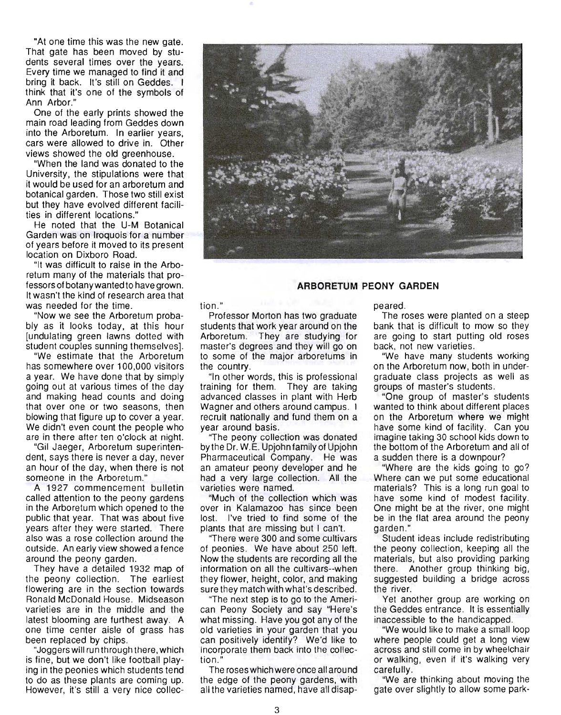"At one time this was the new gate. That gate has been moved by students several times over the years. Every time we managed to find it and bring it back. It's still on Geddes. I think that it's one of the symbols of Ann Arbor."

One of the early prints showed the main road leading from Geddes down into the Arboretum. In earlier years, cars were allowed to drive in. Other views showed the old greenhouse.

"When the land was donated to the University, the stipulations were that it would be used for an arboretum and botanical garden. Those two still exist but they have evolved different facilities in different locations."

He noted that the U-M Botanical Garden was on Iroquois for a number of years before it moved to its present location on Dixboro Road.

"It was difficult to raise in the Arboretum many of the materials that professors of botany wanted to have grown. It wasn't the kind of research area that was needed for the time.

"Now we see the Arboretum probably as it looks today, at this hour [undulating green lawns dotted with student couples sunning themselves].

"We estimate that the Arboretum has somewhere over 100,000 visitors a year. We have done that by simply going out at various times of the day and making head counts and doing that over one or two seasons, then blowing that figure up to cover a year. We didn't even count the people who are in there after ten o'clock at night.

"Gil Jaeger, Arboretum superintendent, says there is never a day, never an hour of the day, when there is not someone in the Arboretum."

A 1927 commencement bulletin called attention to the peony gardens in the Arboretum which opened to the public that year. That was about five years after they were started. There also was a rose collection around the outside. An early view showed a fence around the peony garden.

They have a detailed 1932 map of the peony collection. The earliest flowering are in the section towards Ronald McDonald House. Midseason varieties are in the middle and the latest blooming are furthest away. A one time center aisle of grass has been replaced by chips.

"Joggers will run through there, which is fine, but we don't like football playing in the peonies which students tend to do as these plants are coming up. However, it's still a very nice collec-



#### **ARBORETUM PEONY GARDEN**

tion."

Professor Morton has two graduate students that work year around on the Arboretum. They are studying for master's degrees and they will go on to some of the major arboretums in the country.

"In other words, this is professional training for them. They are taking advanced classes in plant with Herb Wagner and others around campus. I recruit nationally and fund them on a year around basis.

"The peony collection was donated by the Dr. W.E. Upjohn family of Upjohn Pharmaceutical Company. He was an amateur peony developer and he had a very large collection. All the varieties were named.

"Much of the collection which was over in Kalamazoo has since been lost. I've tried to find some of the plants that are missing but I can't.

"There were 300 and some cultivars of peonies. We have about 250 left. Now the students are recording all the information on all the cultivars--when they flower, height, color, and making sure they match with what's described.

"The next step is to go to the American Peony Society and say "Here's what missing. Have you got any of the old varieties in your garden that you can positively identify? We'd like to incorporate them back into the collection ."

The roses which were once all around the edge of the peony gardens, with all the varieties named, have all disappeared.

The roses were planted on a steep bank that is difficult to mow so they are going to start putting old roses back, not new varieties.

"We have many students working on the Arboretum now, both in undergraduate class projects as well as groups of master's students .

"One group of master's students wanted to think about different places on the Arboretum where we might have some kind of facility. Can you imagine taking 30 school kids down to the bottom of the Arboretum and all of a sudden there is a downpour?

"Where are the kids going to go? Where can we put some educational materials? This is a long run goal to have some kind of modest facility. One might be at the river, one might be in the flat area around the peony garden."

Student ideas include redistributing the peony collection, keeping all the materials, but also providing parking there. Another group thinking big, suggested building a bridge across the river.

Yet another group are working on the Geddes entrance. It is essentially inaccessible to the handicapped.

"We would like to make a small loop where people could get a long view across and still come in by wheelchair or walking, even if it's walking very carefully.

"We are thinking about moving the gate over Slightly to allow some park-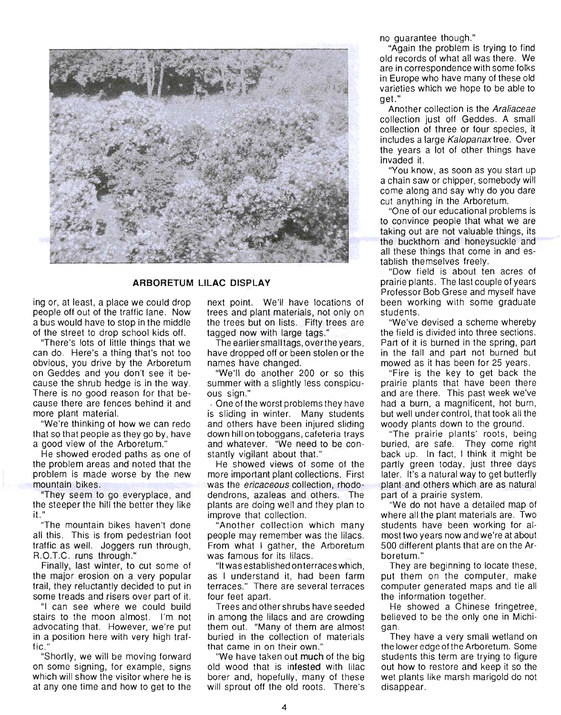

#### **ARBORETUM LILAC DISPLAY**

ing or, at least, a place we could drop people off out of the traffic lane. Now a bus would have to stop in the middle of the street to drop school kids off.

"There's lots of little things that we can do. Here's a thing that's not too obvious, you drive by the Arboretum on Geddes and you don't see it because the shrub hedge is in the way. There is no good reason for that because there are fences behind it and more plant material.

"We're thinking of how we can redo that so that people as they go by, have a good view of the Arboretum."

He showed eroded paths as one of the problem areas and noted that the problem is made worse by the new mountain bikes.

"They seem to go everyplace, and the steeper the hill the better they like it. "

"The mountain bikes haven't done all this . This is from pedestrian foot traffic as well. Joggers run through, R.O.T.C. runs through."

Finally, last winter, to cut some of the major erosion on a very popular trail, they reluctantly decided to put in some treads and risers over part of it.

"I can see where we could build stairs to the moon almost. I'm not advocating that. However, we're put in a position here with very high traffic ."

"Shortly, we will be moving forward on some signing, for example, signs which will show the visitor where he is at anyone time and how to get to the next point. We'll have locations of trees and plant materials, not only on the trees but on lists. Fifty trees are tagged now with large tags."

The earlier small tags, over the years, have dropped off or been stolen or the names have changed.

"We'll do another 200 or so this summer with a slightly less conspicuous sign."

. One of the worst problems they have is sliding in winter. Many students and others have been injured sliding down hill on toboggans, cafeteria trays and whatever. "We need to be constantly vigilant about that."

He showed views of some of the more important plant collections. First was the *ericaceous* collection, rhododendrons, azaleas and others. The plants are doing well and they plan to improve that collection.

"Another collection which many people may remember was the lilacs. From what I gather, the Arboretum was famous for its lilacs.

"It was established on terraces which, as I understand it, had been farm terraces." There are several terraces four feet apart.

Trees and other shrubs have seeded in among the lilacs and are crowding them out. "Many of them are almost buried in the collection of materials that came in on their own."

"We have taken out much of the big old wood that is infested with lilac borer and, hopefully, many of these will sprout off the old roots. There's no guarantee though."

"Again the problem is trying to find old records of what all was there. We are in correspondence with some folks in Europe who have many of these old varieties which we hope to be able to get."

Another collection is the Araliaceae collection just off Geddes. A small collection of three or four species, it includes a large Ka/opanaxtree. Over the years a lot of other things have invaded it.

"You know, as soon as you start up a chain saw or chipper, somebody will come along and say why do you dare cut anything in the Arboretum.

"One of our educational problems is to convince people that what we are taking out are not valuable things, its the buckthorn and honeysuckle and all these things that come in and establish themselves freely .

"Dow field is about ten acres of prairie plants. The last couple of years Professor Bob Grese and myself have been working with some graduate students.

"We've devised a scheme whereby the field is divided into three sections. Part of it is burned in the spring, part in the fall and part not burned but mowed as it has been for 25 years.

"Fire is the key to get back the prairie plants that have been there and are there. This past week we've had a burn, a magnificent, hot burn, but well under control, that took all the woody plants down to the ground.

"The prairie plants' roots, being buried, are safe. They come right back up. In fact, I think it might be partly green today, just three days later. It's a natural way to get butterfly plant and others which are as natural part of a prairie system.

"We do not have a detailed map of where all the plant materials are. Two students have been. working for almost two years now and we're at about 500 different plants that are on the Arboretum."

They are beginning to locate these, put them on the computer, make computer generated maps and tie all the information together.

He showed a Chinese fringetree, believed to be the only one in Michigan.

They have a very small wetland on the lower edge of the Arboretum. Some students this term are trying to figure out how to restore and keep it so the wet plants like marsh marigold do not disappear.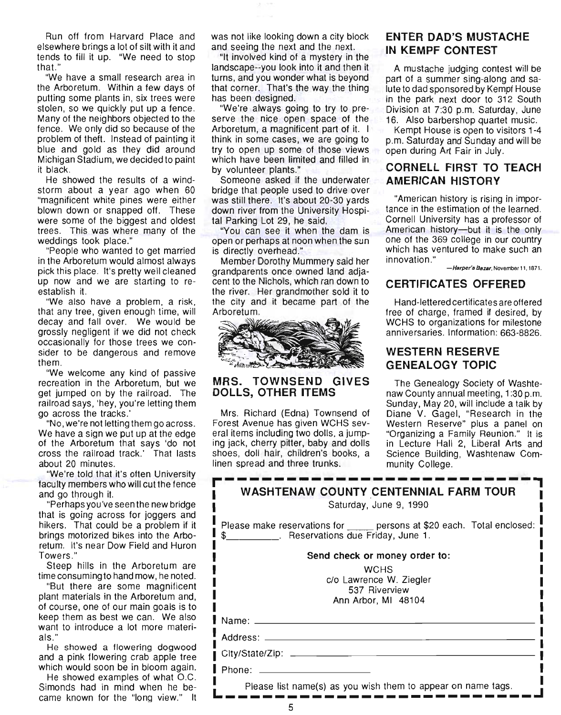Run off from Harvard Place and elsewhere brings a lot of silt with it and tends to fill it up. "We need to stop that.'

"We have a small research area in the Arboretum. Within a few days of putting some plants in, six trees were stolen, so we quickly put up a fence. Many of the neighbors objected to the fence. We only did so because of the problem of theft. Instead of painting it blue and gold as they did around Michigan Stadium, we decided to paint it black.

He showed the results of a windstorm about a year ago when 60 "magnificent white pines were either blown down or snapped off. These were some of the biggest and oldest trees. This was where many of the weddings took place."

"People who wanted to get married in the Arboretum would almost always pick this place. It's pretty well cleaned up now and we are starting to reestablish it.

"We also have a problem, a risk, that any tree, given enough time, will decay and fall over. We would be grossly negligent if we did not check occasionally for those trees we consider to be dangerous and remove them.

"We welcome any kind of passive recreation in the Arboretum, but we get jumped on by the railroad. The railroad says, 'hey, you're letting them go across the tracks.'

"No, we're not letting them go across . We have a sign we put up at the edge of the Arboretum that says 'do not cross the railroad track.' That lasts about 20 minutes.

"We're told that it's often University faculty members who will cut the fence and go through it.<br>"Perhaps you've seen the new bridge

that is going across for joggers and hikers. That could be a problem if it brings motorized bikes into the Arboretum. It's near Dow Field and Huron Towers ."

Steep hills in the Arboretum are time consuming to hand mow, he noted.

"But there are some magnificent plant materials in the Arboretum and, of course, one of our main goals is to keep them as best we can. We also want to introduce a lot more materials."

He showed a flowering dogwood and a pink flowering crab apple tree which would soon be in bloom again.

He showed examples of what O.C. Simonds had in mind when he became known for the "long view." It was not like looking down a city block and seeing the next and the next.

"It involved kind of a mystery in the landscape--you look into it and then it turns, and you wonder what is beyond that corner. That's the way the thing has been designed.

"We're always going to try to preserve the nice open space of the Arboretum, a magnificent part of it. I think in some cases, we are going to try to open up some of those views which have been limited and filled in by volunteer plants."

Someone asked if the underwater bridge that people used to drive over was still there. It's about 20-30 yards down river from the University Hospital Parking Lot 29, he said.

"You can see it when the dam is open or perhaps at noon when the sun is directly overhead."

Member Dorothy Mummery said her grandparents once owned land adjacent to the Nichols, which ran down to the river. Her grandmother sold it to the city and it became part of the Arboretum.



### MRS. TOWNSEND GIVES DOLLS, OTHER ITEMS

Mrs. Richard (Edna) Townsend of Forest Avenue has given WCHS several items including two dolls, a jumping jack, cherry pitter, baby and dolls shoes, doll hair, children's books, a linen spread and three trunks.

### ENTER DAD'S MUSTACHE IN KEMPF CONTEST

A mustache judging contest will be part of a summer Sing-along and salute to dad sponsored by Kempf House in the park next door to 312 South Division at 7:30 p.m. Saturday, June 16. Also barbershop quartet music.

Kempt House is open to visitors 1-4 p.m. Saturday and Sunday and will be open during Art Fair in July.

### CORNELL FIRST TO TEACH AMERICAN HISTORY

"American history is rising in importance in the estimation of the learned. Cornell University has a professor of American history-but it is the only one of the 369 college in our country which has ventured to make such an innovation."

-Harper's Bazar, November 11, 1871.

### CERTIFICATES OFFERED

Hand-lettered certificates are offered free of charge, framed if desired, by WCHS to organizations for milestone anniversaries. Information: 663-8826.

### WESTERN RESERVE GENEALOGY TOPIC

The Genealogy Society of Washtenaw County annual meeting, 1 :30 p.m. Sunday, May 20, will include a talk by Diane V. Gagel, "Research in the Western Reserve" plus a panel on "Organizing a Family Reunion." It is in Lecture Hall 2, Liberal Arts and Science Building, Washtenaw Community College.

| linen spread and three trunks. The munity College. |                                                                           |
|----------------------------------------------------|---------------------------------------------------------------------------|
|                                                    | <b>WASHTENAW COUNTY CENTENNIAL FARM TOUR</b><br>Saturday, June 9, 1990    |
| \$ ____________. Reservations due Friday, June 1.  | Please make reservations for ______ persons at \$20 each. Total enclosed: |
|                                                    | Send check or money order to:                                             |
|                                                    | <b>WCHS</b>                                                               |
|                                                    | c/o Lawrence W. Ziegler                                                   |
|                                                    | 537 Riverview<br>Ann Arbor, MI 48104                                      |
|                                                    |                                                                           |
| Name: _____                                        |                                                                           |
| Address: ______                                    |                                                                           |
| City/State/Zip: _____                              |                                                                           |
| Phone:                                             |                                                                           |
|                                                    | Please list name(s) as you wish them to appear on name tags.              |
|                                                    |                                                                           |
| 5                                                  |                                                                           |